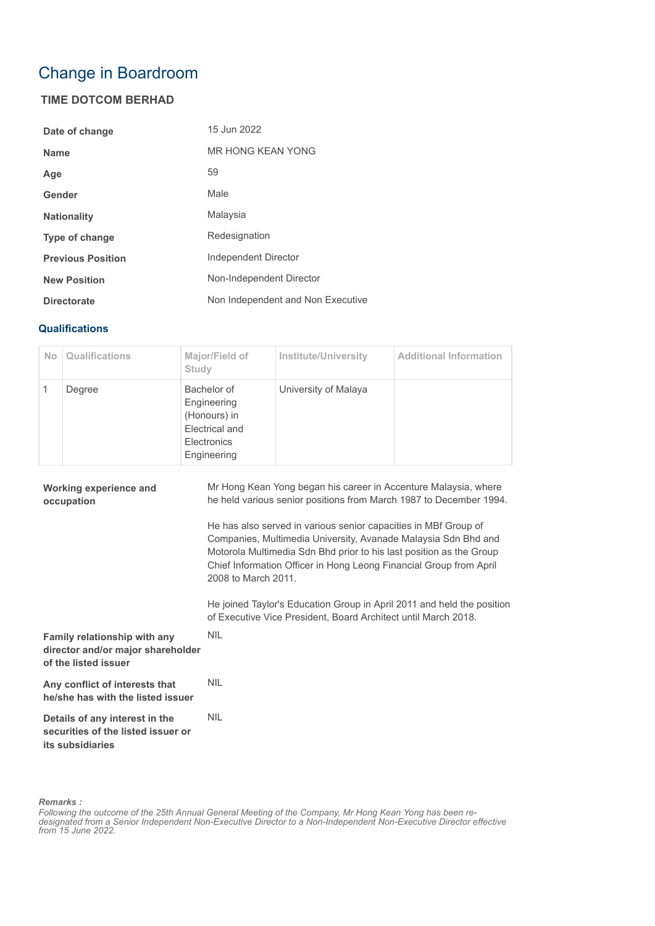## Change in Boardroom

## **TIME DOTCOM BERHAD**

| Date of change           | 15 Jun 2022                       |
|--------------------------|-----------------------------------|
| <b>Name</b>              | <b>MR HONG KEAN YONG</b>          |
| Age                      | 59                                |
| Gender                   | Male                              |
| <b>Nationality</b>       | Malaysia                          |
| <b>Type of change</b>    | Redesignation                     |
| <b>Previous Position</b> | Independent Director              |
| <b>New Position</b>      | Non-Independent Director          |
| <b>Directorate</b>       | Non Independent and Non Executive |

## **Qualifications**

| <b>No</b> | Qualifications | Major/Field of<br>Study                                                                    | <b>Institute/University</b> | <b>Additional Information</b> |
|-----------|----------------|--------------------------------------------------------------------------------------------|-----------------------------|-------------------------------|
|           | Degree         | Bachelor of<br>Engineering<br>(Honours) in<br>Electrical and<br>Electronics<br>Engineering | University of Malaya        |                               |

| <b>Working experience and</b><br>occupation                                               | Mr Hong Kean Yong began his career in Accenture Malaysia, where<br>he held various senior positions from March 1987 to December 1994.                                                                                                                                                                 |
|-------------------------------------------------------------------------------------------|-------------------------------------------------------------------------------------------------------------------------------------------------------------------------------------------------------------------------------------------------------------------------------------------------------|
|                                                                                           | He has also served in various senior capacities in MBf Group of<br>Companies, Multimedia University, Avanade Malaysia Sdn Bhd and<br>Motorola Multimedia Sdn Bhd prior to his last position as the Group<br>Chief Information Officer in Hong Leong Financial Group from April<br>2008 to March 2011. |
|                                                                                           | He joined Taylor's Education Group in April 2011 and held the position<br>of Executive Vice President, Board Architect until March 2018.                                                                                                                                                              |
| Family relationship with any<br>director and/or major shareholder<br>of the listed issuer | <b>NIL</b>                                                                                                                                                                                                                                                                                            |
| Any conflict of interests that<br>he/she has with the listed issuer                       | <b>NIL</b>                                                                                                                                                                                                                                                                                            |
| Details of any interest in the<br>securities of the listed issuer or<br>its subsidiaries  | <b>NIL</b>                                                                                                                                                                                                                                                                                            |

*Remarks :*

*Following the outcome of the 25th Annual General Meeting of the Company, Mr Hong Kean Yong has been redesignated from a Senior Independent Non-Executive Director to a Non-Independent Non-Executive Director effective from 15 June 2022.*